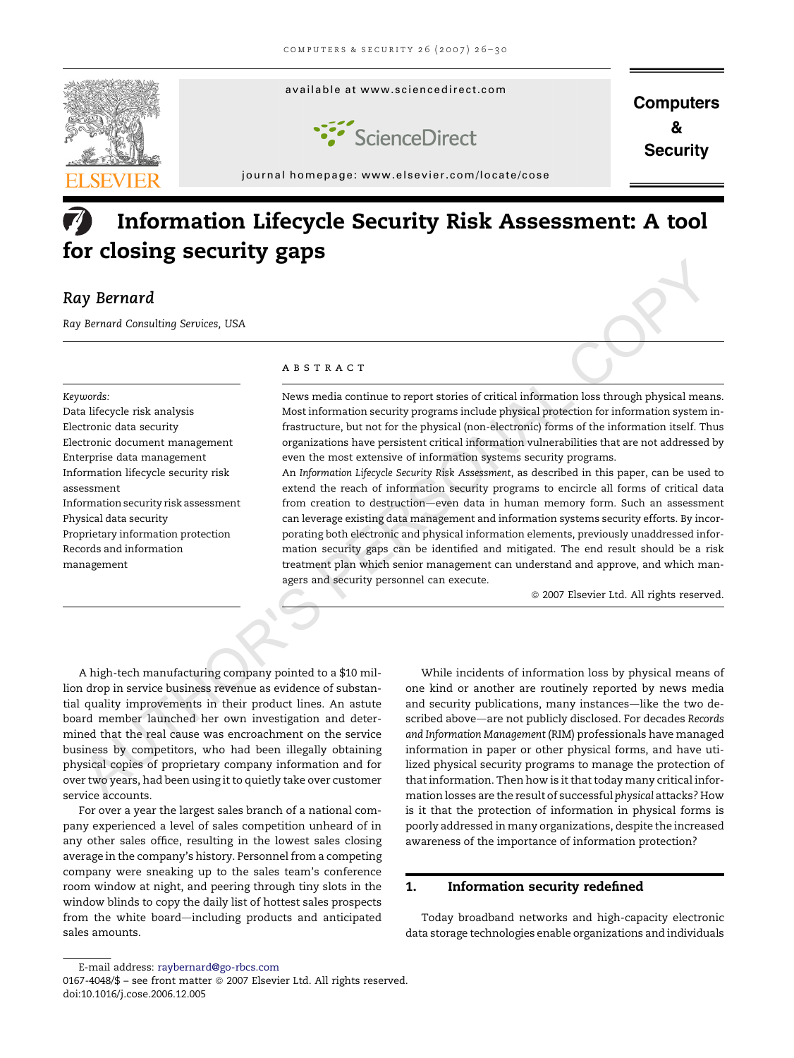

# Information Lifecycle Security Risk Assessment: A tool for closing security gaps

## Ray Bernard

Ray Bernard Consulting Services, USA

#### Keywords:

Data lifecycle risk analysis Electronic data security Electronic document management Enterprise data management Information lifecycle security risk assessment Information security risk assessment Physical data security Proprietary information protection Records and information management

#### **ABSTRACT**

News media continue to report stories of critical information loss through physical means. Most information security programs include physical protection for information system infrastructure, but not for the physical (non-electronic) forms of the information itself. Thus organizations have persistent critical information vulnerabilities that are not addressed by even the most extensive of information systems security programs.

An Information Lifecycle Security Risk Assessment, as described in this paper, can be used to extend the reach of information security programs to encircle all forms of critical data from creation to destruction—even data in human memory form. Such an assessment can leverage existing data management and information systems security efforts. By incorporating both electronic and physical information elements, previously unaddressed information security gaps can be identified and mitigated. The end result should be a risk treatment plan which senior management can understand and approve, and which managers and security personnel can execute. **EXERCISE A**<br> **Example 2004 and Consulting Services, USA**<br> **ALEST RACE TRIMENT INTERFERENCES AND ARRAIGEMENT INTERFERENCES AND A RESPONSE ARRAIGEMENT INTERFERENCES AND A RESPONSE ARRAIGEMENT INTERFERENCES AND A REPORT OF** 

 $@$  2007 Elsevier Ltd. All rights reserved.

A high-tech manufacturing company pointed to a \$10 million drop in service business revenue as evidence of substantial quality improvements in their product lines. An astute board member launched her own investigation and determined that the real cause was encroachment on the service business by competitors, who had been illegally obtaining physical copies of proprietary company information and for over two years, had been using it to quietly take over customer service accounts.

For over a year the largest sales branch of a national company experienced a level of sales competition unheard of in any other sales office, resulting in the lowest sales closing average in the company's history. Personnel from a competing company were sneaking up to the sales team's conference room window at night, and peering through tiny slots in the window blinds to copy the daily list of hottest sales prospects from the white board—including products and anticipated sales amounts.

While incidents of information loss by physical means of one kind or another are routinely reported by news media and security publications, many instances-like the two described above-are not publicly disclosed. For decades Records and Information Management (RIM) professionals have managed information in paper or other physical forms, and have utilized physical security programs to manage the protection of that information. Then how is it that today many critical information losses are the result of successful physical attacks? How is it that the protection of information in physical forms is poorly addressed in many organizations, despite the increased awareness of the importance of information protection?

## 1. Information security redefined

Today broadband networks and high-capacity electronic data storage technologies enable organizations and individuals

<sup>0167-4048/\$ –</sup> see front matter  $\odot$  2007 Elsevier Ltd. All rights reserved. doi:10.1016/j.cose.2006.12.005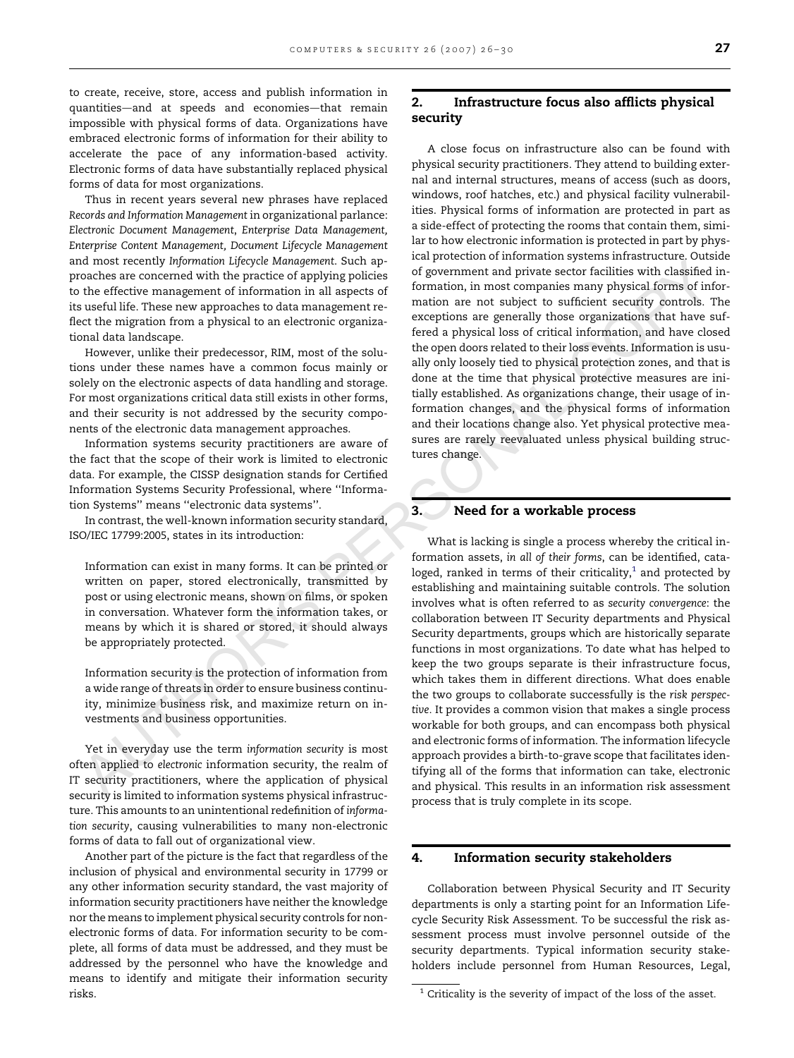to create, receive, store, access and publish information in quantities—and at speeds and economies—that remain impossible with physical forms of data. Organizations have embraced electronic forms of information for their ability to accelerate the pace of any information-based activity. Electronic forms of data have substantially replaced physical forms of data for most organizations.

Thus in recent years several new phrases have replaced Records and Information Management in organizational parlance: Electronic Document Management, Enterprise Data Management, Enterprise Content Management, Document Lifecycle Management and most recently Information Lifecycle Management. Such approaches are concerned with the practice of applying policies to the effective management of information in all aspects of its useful life. These new approaches to data management reflect the migration from a physical to an electronic organizational data landscape.

However, unlike their predecessor, RIM, most of the solutions under these names have a common focus mainly or solely on the electronic aspects of data handling and storage. For most organizations critical data still exists in other forms, and their security is not addressed by the security components of the electronic data management approaches.

Information systems security practitioners are aware of the fact that the scope of their work is limited to electronic data. For example, the CISSP designation stands for Certified Information Systems Security Professional, where ''Information Systems'' means ''electronic data systems''.

In contrast, the well-known information security standard, ISO/IEC 17799:2005, states in its introduction:

Information can exist in many forms. It can be printed or written on paper, stored electronically, transmitted by post or using electronic means, shown on films, or spoken in conversation. Whatever form the information takes, or means by which it is shared or stored, it should always be appropriately protected.

Information security is the protection of information from a wide range of threats in order to ensure business continuity, minimize business risk, and maximize return on investments and business opportunities.

Yet in everyday use the term information security is most often applied to electronic information security, the realm of IT security practitioners, where the application of physical security is limited to information systems physical infrastructure. This amounts to an unintentional redefinition of information security, causing vulnerabilities to many non-electronic forms of data to fall out of organizational view.

Another part of the picture is the fact that regardless of the inclusion of physical and environmental security in 17799 or any other information security standard, the vast majority of information security practitioners have neither the knowledge nor the means to implement physical security controls for nonelectronic forms of data. For information security to be complete, all forms of data must be addressed, and they must be addressed by the personnel who have the knowledge and means to identify and mitigate their information security risks.

## 2. Infrastructure focus also afflicts physical security

A close focus on infrastructure also can be found with physical security practitioners. They attend to building external and internal structures, means of access (such as doors, windows, roof hatches, etc.) and physical facility vulnerabilities. Physical forms of information are protected in part as a side-effect of protecting the rooms that contain them, similar to how electronic information is protected in part by physical protection of information systems infrastructure. Outside of government and private sector facilities with classified information, in most companies many physical forms of information are not subject to sufficient security controls. The exceptions are generally those organizations that have suffered a physical loss of critical information, and have closed the open doors related to their loss events. Information is usually only loosely tied to physical protection zones, and that is done at the time that physical protective measures are initially established. As organizations change, their usage of information changes, and the physical forms of information and their locations change also. Yet physical protective measures are rarely reevaluated unless physical building structures change.

#### 3. Need for a workable process

What is lacking is single a process whereby the critical information assets, in all of their forms, can be identified, cataloged, ranked in terms of their criticality, $1$  and protected by establishing and maintaining suitable controls. The solution involves what is often referred to as security convergence: the collaboration between IT Security departments and Physical Security departments, groups which are historically separate functions in most organizations. To date what has helped to keep the two groups separate is their infrastructure focus, which takes them in different directions. What does enable the two groups to collaborate successfully is the risk perspective. It provides a common vision that makes a single process workable for both groups, and can encompass both physical and electronic forms of information. The information lifecycle approach provides a birth-to-grave scope that facilitates identifying all of the forms that information can take, electronic and physical. This results in an information risk assessment process that is truly complete in its scope. In their recently phoronion Lyccycle Management. Such ap-<br>
and notice technique to the stream of the stream of the stream of the stream of the stream of the stream of the stream of the stream and the stream of the stream o

#### 4. Information security stakeholders

Collaboration between Physical Security and IT Security departments is only a starting point for an Information Lifecycle Security Risk Assessment. To be successful the risk assessment process must involve personnel outside of the security departments. Typical information security stakeholders include personnel from Human Resources, Legal,

 $1$  Criticality is the severity of impact of the loss of the asset.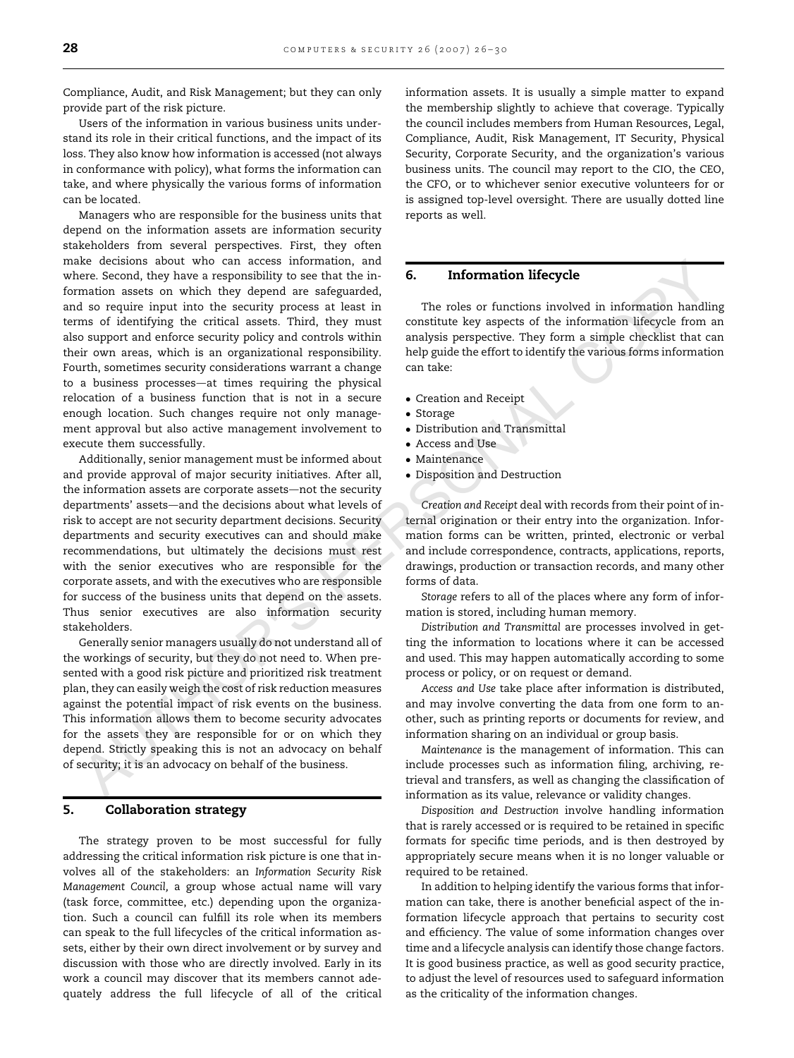Compliance, Audit, and Risk Management; but they can only provide part of the risk picture.

Users of the information in various business units understand its role in their critical functions, and the impact of its loss. They also know how information is accessed (not always in conformance with policy), what forms the information can take, and where physically the various forms of information can be located.

Managers who are responsible for the business units that depend on the information assets are information security stakeholders from several perspectives. First, they often make decisions about who can access information, and where. Second, they have a responsibility to see that the information assets on which they depend are safeguarded, and so require input into the security process at least in terms of identifying the critical assets. Third, they must also support and enforce security policy and controls within their own areas, which is an organizational responsibility. Fourth, sometimes security considerations warrant a change to a business processes—at times requiring the physical relocation of a business function that is not in a secure enough location. Such changes require not only management approval but also active management involvement to execute them successfully. Economis useue on which they depend on the section and the best and the section of the section of the section of the section of the section of the section of the section and the section of the section of the section of th

Additionally, senior management must be informed about and provide approval of major security initiatives. After all, the information assets are corporate assets—not the security departments' assets—and the decisions about what levels of risk to accept are not security department decisions. Security departments and security executives can and should make recommendations, but ultimately the decisions must rest with the senior executives who are responsible for the corporate assets, and with the executives who are responsible for success of the business units that depend on the assets. Thus senior executives are also information security stakeholders.

Generally senior managers usually do not understand all of the workings of security, but they do not need to. When presented with a good risk picture and prioritized risk treatment plan, they can easily weigh the cost of risk reduction measures against the potential impact of risk events on the business. This information allows them to become security advocates for the assets they are responsible for or on which they depend. Strictly speaking this is not an advocacy on behalf of security; it is an advocacy on behalf of the business.

## 5. Collaboration strategy

The strategy proven to be most successful for fully addressing the critical information risk picture is one that involves all of the stakeholders: an Information Security Risk Management Council, a group whose actual name will vary (task force, committee, etc.) depending upon the organization. Such a council can fulfill its role when its members can speak to the full lifecycles of the critical information assets, either by their own direct involvement or by survey and discussion with those who are directly involved. Early in its work a council may discover that its members cannot adequately address the full lifecycle of all of the critical information assets. It is usually a simple matter to expand the membership slightly to achieve that coverage. Typically the council includes members from Human Resources, Legal, Compliance, Audit, Risk Management, IT Security, Physical Security, Corporate Security, and the organization's various business units. The council may report to the CIO, the CEO, the CFO, or to whichever senior executive volunteers for or is assigned top-level oversight. There are usually dotted line reports as well.

#### 6. Information lifecycle

The roles or functions involved in information handling constitute key aspects of the information lifecycle from an analysis perspective. They form a simple checklist that can help guide the effort to identify the various forms information can take:

- Creation and Receipt
- Storage
- Distribution and Transmittal
- Access and Use
- $\bullet$  Maintenance
- Disposition and Destruction

Creation and Receipt deal with records from their point of internal origination or their entry into the organization. Information forms can be written, printed, electronic or verbal and include correspondence, contracts, applications, reports, drawings, production or transaction records, and many other forms of data.

Storage refers to all of the places where any form of information is stored, including human memory.

Distribution and Transmittal are processes involved in getting the information to locations where it can be accessed and used. This may happen automatically according to some process or policy, or on request or demand.

Access and Use take place after information is distributed, and may involve converting the data from one form to another, such as printing reports or documents for review, and information sharing on an individual or group basis.

Maintenance is the management of information. This can include processes such as information filing, archiving, retrieval and transfers, as well as changing the classification of information as its value, relevance or validity changes.

Disposition and Destruction involve handling information that is rarely accessed or is required to be retained in specific formats for specific time periods, and is then destroyed by appropriately secure means when it is no longer valuable or required to be retained.

In addition to helping identify the various forms that information can take, there is another beneficial aspect of the information lifecycle approach that pertains to security cost and efficiency. The value of some information changes over time and a lifecycle analysis can identify those change factors. It is good business practice, as well as good security practice, to adjust the level of resources used to safeguard information as the criticality of the information changes.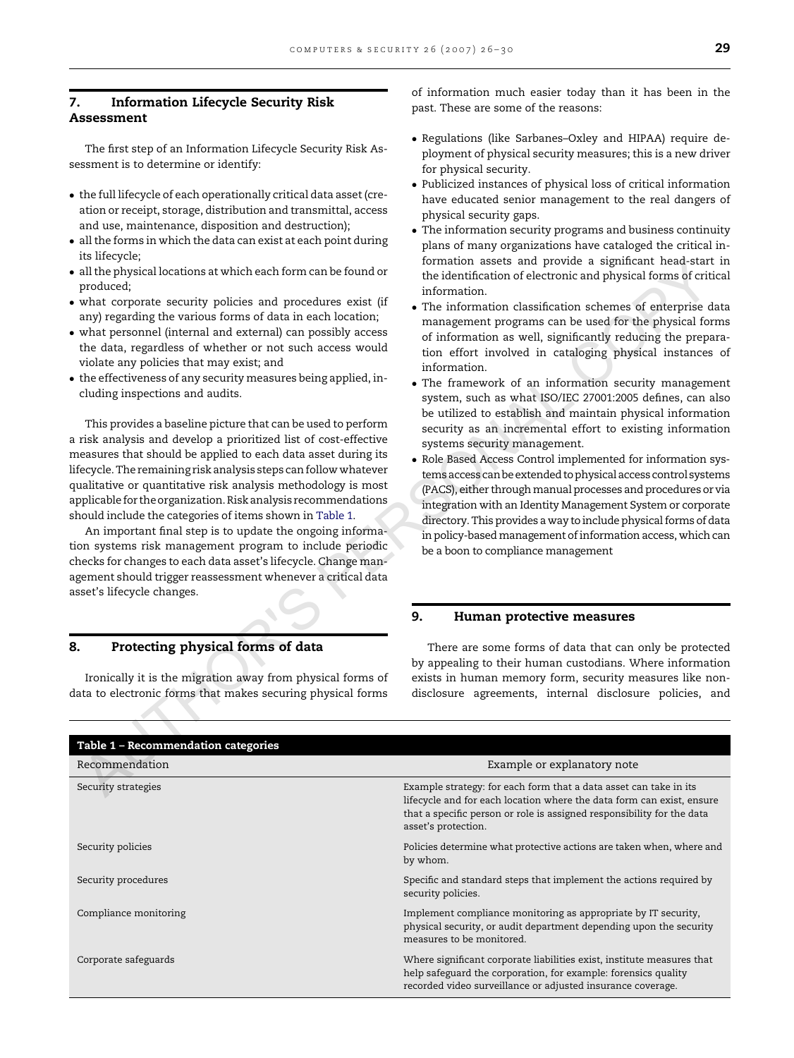## 7. Information Lifecycle Security Risk Assessment

The first step of an Information Lifecycle Security Risk Assessment is to determine or identify:

- $\bullet\,$  the full lifecycle of each operationally critical data asset (creation or receipt, storage, distribution and transmittal, access and use, maintenance, disposition and destruction);
- $\bullet \,$  all the forms in which the data can exist at each point during its lifecycle;
- $\bullet \,$  all the physical locations at which each form can be found or produced;
- what corporate security policies and procedures exist (if any) regarding the various forms of data in each location;
- what personnel (internal and external) can possibly access the data, regardless of whether or not such access would violate any policies that may exist; and
- $\bullet\,$  the effectiveness of any security measures being applied, including inspections and audits.

## 8. Protecting physical forms of data

of information much easier today than it has been in the past. These are some of the reasons:

- Regulations (like Sarbanes–Oxley and HIPAA) require deployment of physical security measures; this is a new driver for physical security.
- Publicized instances of physical loss of critical information have educated senior management to the real dangers of physical security gaps.
- The information security programs and business continuity plans of many organizations have cataloged the critical information assets and provide a significant head-start in the identification of electronic and physical forms of critical information.
- The information classification schemes of enterprise data management programs can be used for the physical forms of information as well, significantly reducing the preparation effort involved in cataloging physical instances of information.
- The framework of an information security management system, such as what ISO/IEC 27001:2005 defines, can also be utilized to establish and maintain physical information security as an incremental effort to existing information systems security management.
- Role Based Access Control implemented for information systems access can be extended to physical access control systems (PACS), either through manual processes and procedures or via integration with an Identity Management System or corporate directory. This provides a way to include physical forms of data in policy-based management of information access, which can be a boon to compliance management

## 9. Human protective measures

| · all the physical locations at which each form can be found or<br>produced;<br>· what corporate security policies and procedures exist (if<br>any) regarding the various forms of data in each location;<br>• what personnel (internal and external) can possibly access<br>the data, regardless of whether or not such access would<br>violate any policies that may exist; and<br>• the effectiveness of any security measures being applied, in-<br>cluding inspections and audits.<br>This provides a baseline picture that can be used to perform<br>a risk analysis and develop a prioritized list of cost-effective<br>measures that should be applied to each data asset during its<br>lifecycle. The remaining risk analysis steps can follow whatever<br>qualitative or quantitative risk analysis methodology is most<br>applicable for the organization. Risk analysis recommendations<br>should include the categories of items shown in Table 1.<br>An important final step is to update the ongoing informa-<br>tion systems risk management program to include periodic<br>checks for changes to each data asset's lifecycle. Change man-<br>agement should trigger reassessment whenever a critical data<br>asset's lifecycle changes. | formation assets and provide a significant head-start in<br>the identification of electronic and physical forms of critical<br>information.<br>• The information classification schemes of enterprise data<br>management programs can be used for the physical forms<br>of information as well, significantly reducing the prepara-<br>tion effort involved in cataloging physical instances of<br>information.<br>• The framework of an information security management<br>system, such as what ISO/IEC 27001:2005 defines, can also<br>be utilized to establish and maintain physical information<br>security as an incremental effort to existing information<br>systems security management.<br>• Role Based Access Control implemented for information sys-<br>tems access can be extended to physical access control systems<br>(PACS), either through manual processes and procedures or via<br>integration with an Identity Management System or corporate<br>directory. This provides a way to include physical forms of data<br>in policy-based management of information access, which can<br>be a boon to compliance management<br>9.<br><b>Human protective measures</b> |
|----------------------------------------------------------------------------------------------------------------------------------------------------------------------------------------------------------------------------------------------------------------------------------------------------------------------------------------------------------------------------------------------------------------------------------------------------------------------------------------------------------------------------------------------------------------------------------------------------------------------------------------------------------------------------------------------------------------------------------------------------------------------------------------------------------------------------------------------------------------------------------------------------------------------------------------------------------------------------------------------------------------------------------------------------------------------------------------------------------------------------------------------------------------------------------------------------------------------------------------------------------|---------------------------------------------------------------------------------------------------------------------------------------------------------------------------------------------------------------------------------------------------------------------------------------------------------------------------------------------------------------------------------------------------------------------------------------------------------------------------------------------------------------------------------------------------------------------------------------------------------------------------------------------------------------------------------------------------------------------------------------------------------------------------------------------------------------------------------------------------------------------------------------------------------------------------------------------------------------------------------------------------------------------------------------------------------------------------------------------------------------------------------------------------------------------------------------|
| Protecting physical forms of data<br>8.<br>Ironically it is the migration away from physical forms of<br>data to electronic forms that makes securing physical forms                                                                                                                                                                                                                                                                                                                                                                                                                                                                                                                                                                                                                                                                                                                                                                                                                                                                                                                                                                                                                                                                                     | There are some forms of data that can only be protected<br>by appealing to their human custodians. Where information<br>exists in human memory form, security measures like non-<br>disclosure agreements, internal disclosure policies, and                                                                                                                                                                                                                                                                                                                                                                                                                                                                                                                                                                                                                                                                                                                                                                                                                                                                                                                                          |
| Table 1 - Recommendation categories                                                                                                                                                                                                                                                                                                                                                                                                                                                                                                                                                                                                                                                                                                                                                                                                                                                                                                                                                                                                                                                                                                                                                                                                                      |                                                                                                                                                                                                                                                                                                                                                                                                                                                                                                                                                                                                                                                                                                                                                                                                                                                                                                                                                                                                                                                                                                                                                                                       |
| Recommendation                                                                                                                                                                                                                                                                                                                                                                                                                                                                                                                                                                                                                                                                                                                                                                                                                                                                                                                                                                                                                                                                                                                                                                                                                                           | Example or explanatory note                                                                                                                                                                                                                                                                                                                                                                                                                                                                                                                                                                                                                                                                                                                                                                                                                                                                                                                                                                                                                                                                                                                                                           |
| Security strategies                                                                                                                                                                                                                                                                                                                                                                                                                                                                                                                                                                                                                                                                                                                                                                                                                                                                                                                                                                                                                                                                                                                                                                                                                                      | Example strategy: for each form that a data asset can take in its<br>lifecycle and for each location where the data form can exist, ensure<br>that a specific person or role is assigned responsibility for the data<br>asset's protection.                                                                                                                                                                                                                                                                                                                                                                                                                                                                                                                                                                                                                                                                                                                                                                                                                                                                                                                                           |
| Security policies                                                                                                                                                                                                                                                                                                                                                                                                                                                                                                                                                                                                                                                                                                                                                                                                                                                                                                                                                                                                                                                                                                                                                                                                                                        | Policies determine what protective actions are taken when, where and<br>by whom.                                                                                                                                                                                                                                                                                                                                                                                                                                                                                                                                                                                                                                                                                                                                                                                                                                                                                                                                                                                                                                                                                                      |
| Security procedures                                                                                                                                                                                                                                                                                                                                                                                                                                                                                                                                                                                                                                                                                                                                                                                                                                                                                                                                                                                                                                                                                                                                                                                                                                      | Specific and standard steps that implement the actions required by<br>security policies.                                                                                                                                                                                                                                                                                                                                                                                                                                                                                                                                                                                                                                                                                                                                                                                                                                                                                                                                                                                                                                                                                              |
| Compliance monitoring                                                                                                                                                                                                                                                                                                                                                                                                                                                                                                                                                                                                                                                                                                                                                                                                                                                                                                                                                                                                                                                                                                                                                                                                                                    | Implement compliance monitoring as appropriate by IT security,<br>physical security, or audit department depending upon the security<br>measures to be monitored.                                                                                                                                                                                                                                                                                                                                                                                                                                                                                                                                                                                                                                                                                                                                                                                                                                                                                                                                                                                                                     |
| Corporate safeguards                                                                                                                                                                                                                                                                                                                                                                                                                                                                                                                                                                                                                                                                                                                                                                                                                                                                                                                                                                                                                                                                                                                                                                                                                                     | Where significant corporate liabilities exist, institute measures that<br>help safeguard the corporation, for example: forensics quality<br>recorded video surveillance or adjusted insurance coverage.                                                                                                                                                                                                                                                                                                                                                                                                                                                                                                                                                                                                                                                                                                                                                                                                                                                                                                                                                                               |